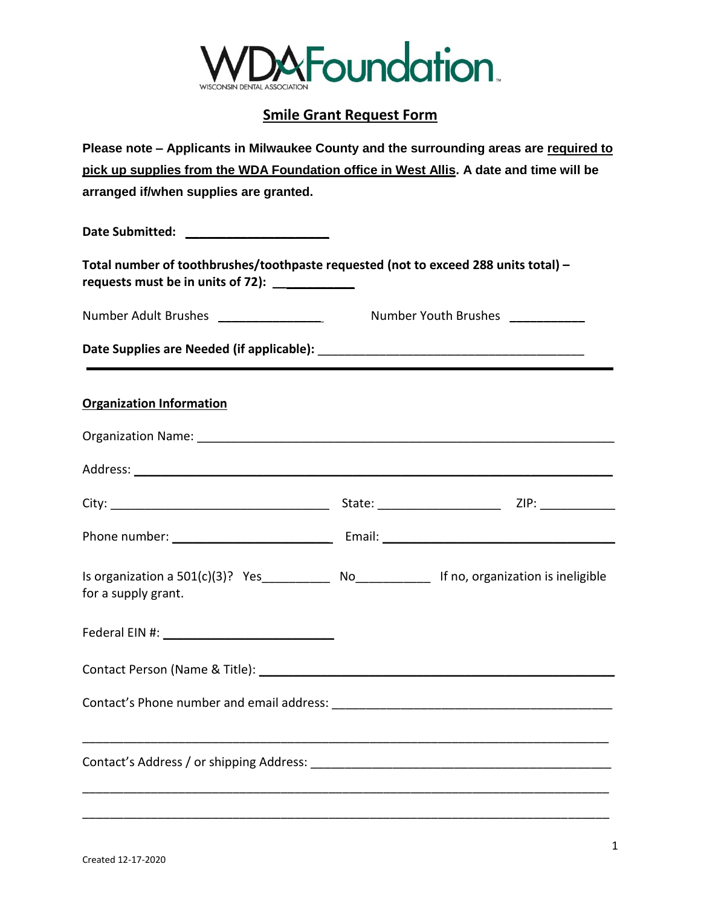

## **Smile Grant Request Form**

| Please note - Applicants in Milwaukee County and the surrounding areas are required to                                                |                             |  |
|---------------------------------------------------------------------------------------------------------------------------------------|-----------------------------|--|
| pick up supplies from the WDA Foundation office in West Allis. A date and time will be                                                |                             |  |
| arranged if/when supplies are granted.                                                                                                |                             |  |
|                                                                                                                                       |                             |  |
| Date Submitted: _______________________                                                                                               |                             |  |
| Total number of toothbrushes/toothpaste requested (not to exceed 288 units total) -<br>requests must be in units of 72): ____________ |                             |  |
| Number Adult Brushes ____________________                                                                                             | Number Youth Brushes Number |  |
|                                                                                                                                       |                             |  |
|                                                                                                                                       |                             |  |
| <b>Organization Information</b>                                                                                                       |                             |  |
|                                                                                                                                       |                             |  |
|                                                                                                                                       |                             |  |
|                                                                                                                                       |                             |  |
|                                                                                                                                       |                             |  |
| Is organization a 501(c)(3)? Yes____________ No______________ If no, organization is ineligible<br>for a supply grant.                |                             |  |
|                                                                                                                                       |                             |  |
|                                                                                                                                       |                             |  |
|                                                                                                                                       |                             |  |
|                                                                                                                                       |                             |  |
|                                                                                                                                       |                             |  |

\_\_\_\_\_\_\_\_\_\_\_\_\_\_\_\_\_\_\_\_\_\_\_\_\_\_\_\_\_\_\_\_\_\_\_\_\_\_\_\_\_\_\_\_\_\_\_\_\_\_\_\_\_\_\_\_\_\_\_\_\_\_\_\_\_\_\_\_\_\_\_\_\_\_\_\_\_